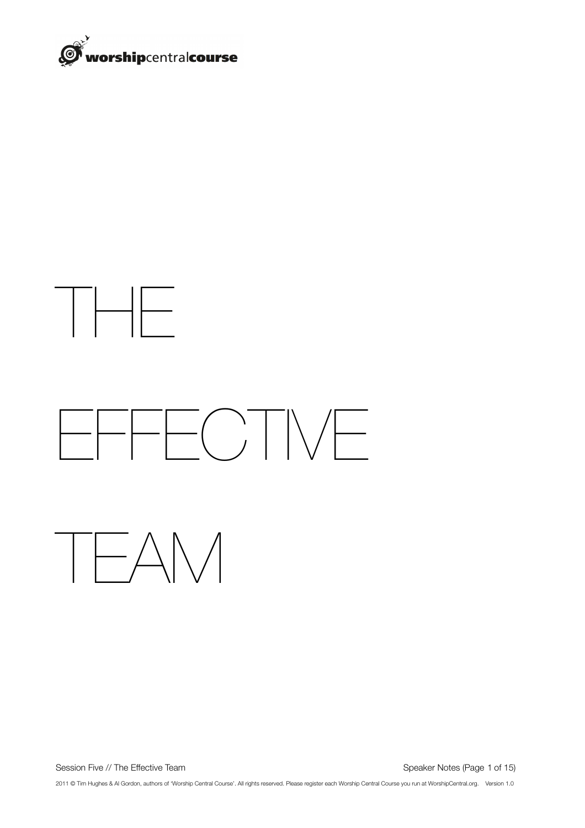



Session Five // The Effective Team **Session Five // The Effective Team Session Five // The Effective Team Session Five // The Effective Team** 

2011 © Tim Hughes & Al Gordon, authors of 'Worship Central Course'. All rights reserved. Please register each Worship Central Course you run at WorshipCentral.org. Version 1.0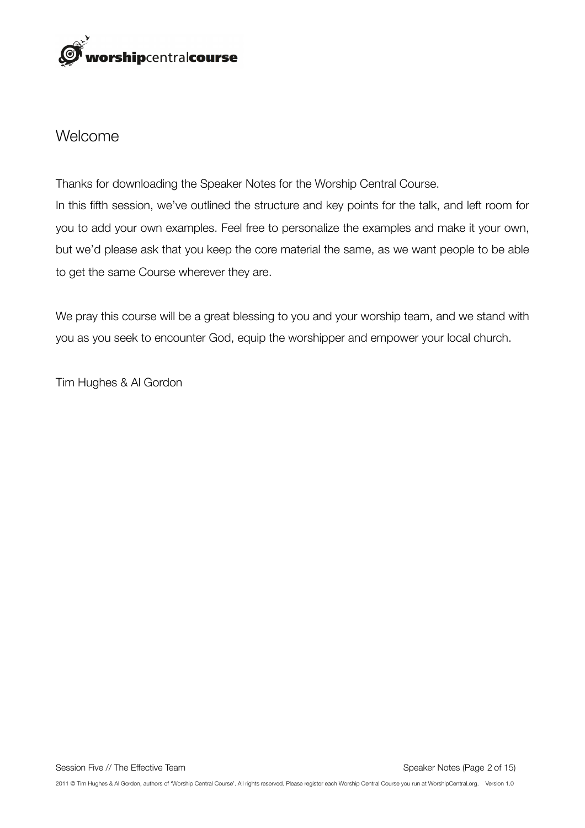

### Welcome

Thanks for downloading the Speaker Notes for the Worship Central Course. In this fifth session, we've outlined the structure and key points for the talk, and left room for you to add your own examples. Feel free to personalize the examples and make it your own, but we'd please ask that you keep the core material the same, as we want people to be able to get the same Course wherever they are.

We pray this course will be a great blessing to you and your worship team, and we stand with you as you seek to encounter God, equip the worshipper and empower your local church.

Tim Hughes & Al Gordon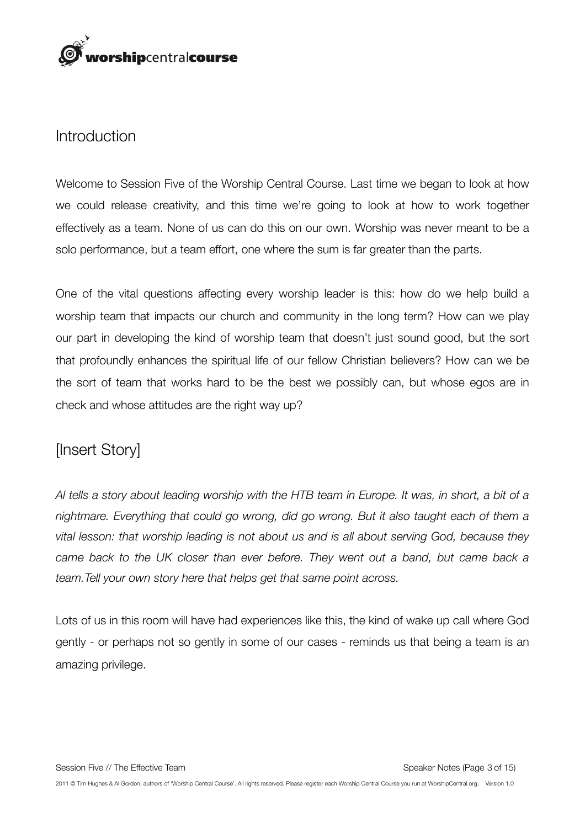

#### Introduction

Welcome to Session Five of the Worship Central Course. Last time we began to look at how we could release creativity, and this time we're going to look at how to work together effectively as a team. None of us can do this on our own. Worship was never meant to be a solo performance, but a team effort, one where the sum is far greater than the parts.

One of the vital questions affecting every worship leader is this: how do we help build a worship team that impacts our church and community in the long term? How can we play our part in developing the kind of worship team that doesn't just sound good, but the sort that profoundly enhances the spiritual life of our fellow Christian believers? How can we be the sort of team that works hard to be the best we possibly can, but whose egos are in check and whose attitudes are the right way up?

# [Insert Story]

*Al tells a story about leading worship with the HTB team in Europe. It was, in short, a bit of a nightmare. Everything that could go wrong, did go wrong. But it also taught each of them a vital lesson: that worship leading is not about us and is all about serving God, because they came back to the UK closer than ever before. They went out a band, but came back a team.Tell your own story here that helps get that same point across.* 

Lots of us in this room will have had experiences like this, the kind of wake up call where God gently - or perhaps not so gently in some of our cases - reminds us that being a team is an amazing privilege.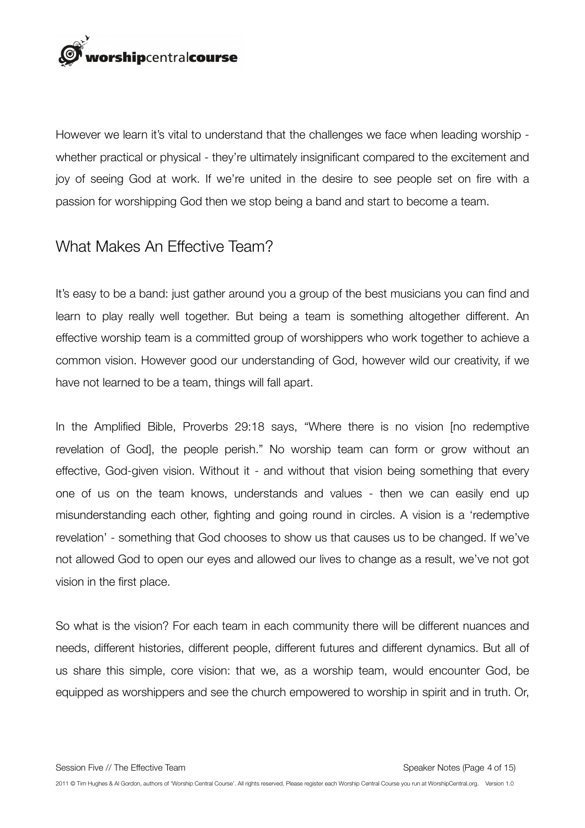

However we learn it's vital to understand that the challenges we face when leading worship whether practical or physical - they're ultimately insignificant compared to the excitement and joy of seeing God at work. If we're united in the desire to see people set on fire with a passion for worshipping God then we stop being a band and start to become a team.

### What Makes An Effective Team?

It's easy to be a band: just gather around you a group of the best musicians you can find and learn to play really well together. But being a team is something altogether different. An effective worship team is a committed group of worshippers who work together to achieve a common vision. However good our understanding of God, however wild our creativity, if we have not learned to be a team, things will fall apart.

In the Amplified Bible, Proverbs 29:18 says, "Where there is no vision [no redemptive revelation of God], the people perish." No worship team can form or grow without an effective, God-given vision. Without it - and without that vision being something that every one of us on the team knows, understands and values - then we can easily end up misunderstanding each other, fighting and going round in circles. A vision is a 'redemptive revelation' - something that God chooses to show us that causes us to be changed. If we've not allowed God to open our eyes and allowed our lives to change as a result, we've not got vision in the first place.

So what is the vision? For each team in each community there will be different nuances and needs, different histories, different people, different futures and different dynamics. But all of us share this simple, core vision: that we, as a worship team, would encounter God, be equipped as worshippers and see the church empowered to worship in spirit and in truth. Or,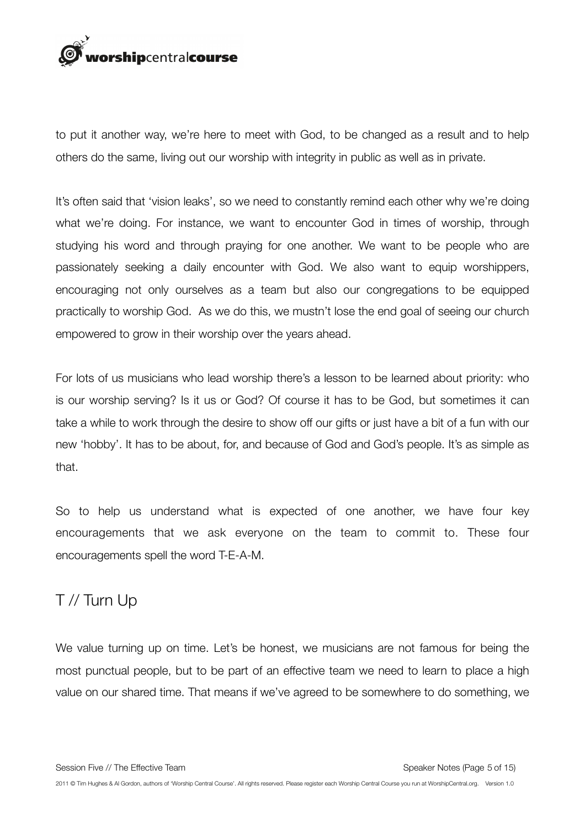

to put it another way, we're here to meet with God, to be changed as a result and to help others do the same, living out our worship with integrity in public as well as in private.

It's often said that 'vision leaks', so we need to constantly remind each other why we're doing what we're doing. For instance, we want to encounter God in times of worship, through studying his word and through praying for one another. We want to be people who are passionately seeking a daily encounter with God. We also want to equip worshippers, encouraging not only ourselves as a team but also our congregations to be equipped practically to worship God. As we do this, we mustn't lose the end goal of seeing our church empowered to grow in their worship over the years ahead.

For lots of us musicians who lead worship there's a lesson to be learned about priority: who is our worship serving? Is it us or God? Of course it has to be God, but sometimes it can take a while to work through the desire to show off our gifts or just have a bit of a fun with our new 'hobby'. It has to be about, for, and because of God and God's people. It's as simple as that.

So to help us understand what is expected of one another, we have four key encouragements that we ask everyone on the team to commit to. These four encouragements spell the word T-E-A-M.

# T // Turn Up

We value turning up on time. Let's be honest, we musicians are not famous for being the most punctual people, but to be part of an effective team we need to learn to place a high value on our shared time. That means if we've agreed to be somewhere to do something, we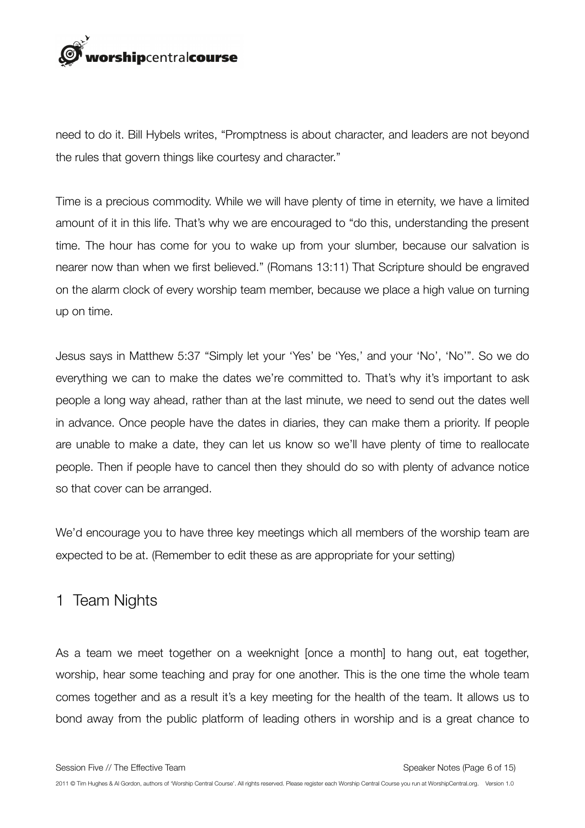

need to do it. Bill Hybels writes, "Promptness is about character, and leaders are not beyond the rules that govern things like courtesy and character."

Time is a precious commodity. While we will have plenty of time in eternity, we have a limited amount of it in this life. That's why we are encouraged to "do this, understanding the present time. The hour has come for you to wake up from your slumber, because our salvation is nearer now than when we first believed." (Romans 13:11) That Scripture should be engraved on the alarm clock of every worship team member, because we place a high value on turning up on time.

Jesus says in Matthew 5:37 "Simply let your 'Yes' be 'Yes,' and your 'No', 'No'". So we do everything we can to make the dates we're committed to. That's why it's important to ask people a long way ahead, rather than at the last minute, we need to send out the dates well in advance. Once people have the dates in diaries, they can make them a priority. If people are unable to make a date, they can let us know so we'll have plenty of time to reallocate people. Then if people have to cancel then they should do so with plenty of advance notice so that cover can be arranged.

We'd encourage you to have three key meetings which all members of the worship team are expected to be at. (Remember to edit these as are appropriate for your setting)

### 1 Team Nights

As a team we meet together on a weeknight [once a month] to hang out, eat together, worship, hear some teaching and pray for one another. This is the one time the whole team comes together and as a result it's a key meeting for the health of the team. It allows us to bond away from the public platform of leading others in worship and is a great chance to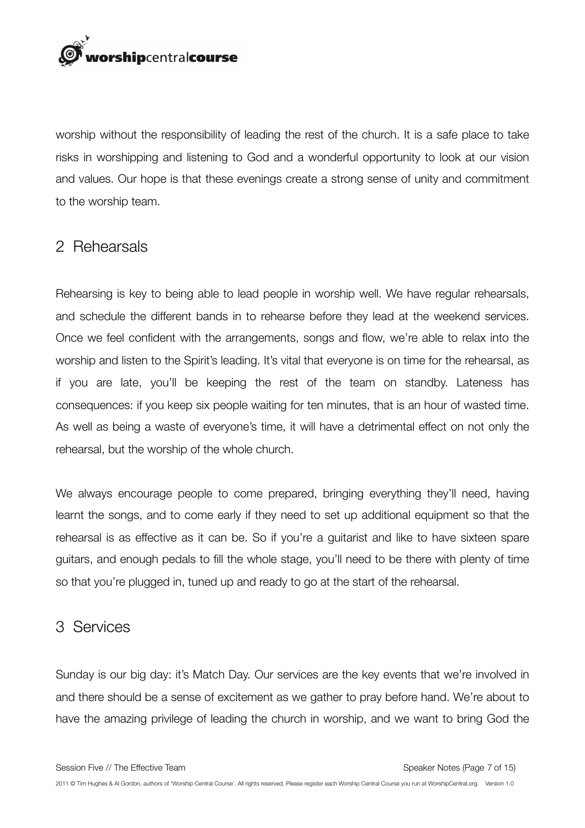rorshipcentralcourse

worship without the responsibility of leading the rest of the church. It is a safe place to take risks in worshipping and listening to God and a wonderful opportunity to look at our vision and values. Our hope is that these evenings create a strong sense of unity and commitment to the worship team.

#### 2 Rehearsals

Rehearsing is key to being able to lead people in worship well. We have regular rehearsals, and schedule the different bands in to rehearse before they lead at the weekend services. Once we feel confident with the arrangements, songs and flow, we're able to relax into the worship and listen to the Spirit's leading. It's vital that everyone is on time for the rehearsal, as if you are late, you'll be keeping the rest of the team on standby. Lateness has consequences: if you keep six people waiting for ten minutes, that is an hour of wasted time. As well as being a waste of everyone's time, it will have a detrimental effect on not only the rehearsal, but the worship of the whole church.

We always encourage people to come prepared, bringing everything they'll need, having learnt the songs, and to come early if they need to set up additional equipment so that the rehearsal is as effective as it can be. So if you're a guitarist and like to have sixteen spare guitars, and enough pedals to fill the whole stage, you'll need to be there with plenty of time so that you're plugged in, tuned up and ready to go at the start of the rehearsal.

#### 3 Services

Sunday is our big day: it's Match Day. Our services are the key events that we're involved in and there should be a sense of excitement as we gather to pray before hand. We're about to have the amazing privilege of leading the church in worship, and we want to bring God the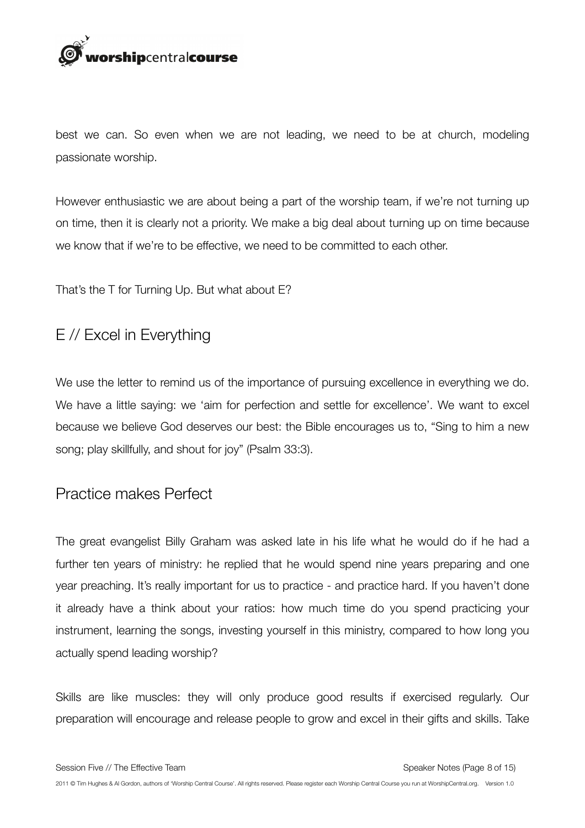

best we can. So even when we are not leading, we need to be at church, modeling passionate worship.

However enthusiastic we are about being a part of the worship team, if we're not turning up on time, then it is clearly not a priority. We make a big deal about turning up on time because we know that if we're to be effective, we need to be committed to each other.

That's the T for Turning Up. But what about E?

## E // Excel in Everything

We use the letter to remind us of the importance of pursuing excellence in everything we do. We have a little saying: we 'aim for perfection and settle for excellence'. We want to excel because we believe God deserves our best: the Bible encourages us to, "Sing to him a new song; play skillfully, and shout for joy" (Psalm 33:3).

### Practice makes Perfect

The great evangelist Billy Graham was asked late in his life what he would do if he had a further ten years of ministry: he replied that he would spend nine years preparing and one year preaching. It's really important for us to practice - and practice hard. If you haven't done it already have a think about your ratios: how much time do you spend practicing your instrument, learning the songs, investing yourself in this ministry, compared to how long you actually spend leading worship?

Skills are like muscles: they will only produce good results if exercised regularly. Our preparation will encourage and release people to grow and excel in their gifts and skills. Take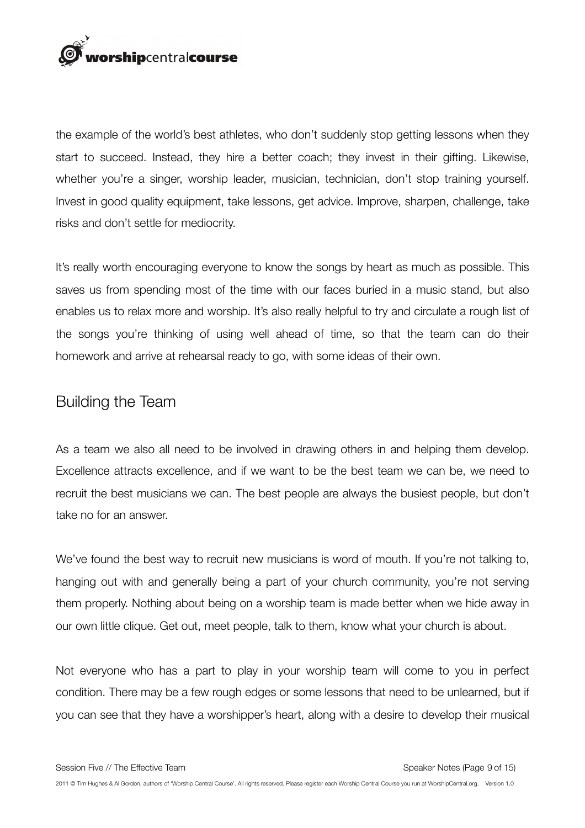

the example of the world's best athletes, who don't suddenly stop getting lessons when they start to succeed. Instead, they hire a better coach; they invest in their gifting. Likewise, whether you're a singer, worship leader, musician, technician, don't stop training yourself. Invest in good quality equipment, take lessons, get advice. Improve, sharpen, challenge, take risks and don't settle for mediocrity.

It's really worth encouraging everyone to know the songs by heart as much as possible. This saves us from spending most of the time with our faces buried in a music stand, but also enables us to relax more and worship. It's also really helpful to try and circulate a rough list of the songs you're thinking of using well ahead of time, so that the team can do their homework and arrive at rehearsal ready to go, with some ideas of their own.

### Building the Team

As a team we also all need to be involved in drawing others in and helping them develop. Excellence attracts excellence, and if we want to be the best team we can be, we need to recruit the best musicians we can. The best people are always the busiest people, but don't take no for an answer.

We've found the best way to recruit new musicians is word of mouth. If you're not talking to, hanging out with and generally being a part of your church community, you're not serving them properly. Nothing about being on a worship team is made better when we hide away in our own little clique. Get out, meet people, talk to them, know what your church is about.

Not everyone who has a part to play in your worship team will come to you in perfect condition. There may be a few rough edges or some lessons that need to be unlearned, but if you can see that they have a worshipper's heart, along with a desire to develop their musical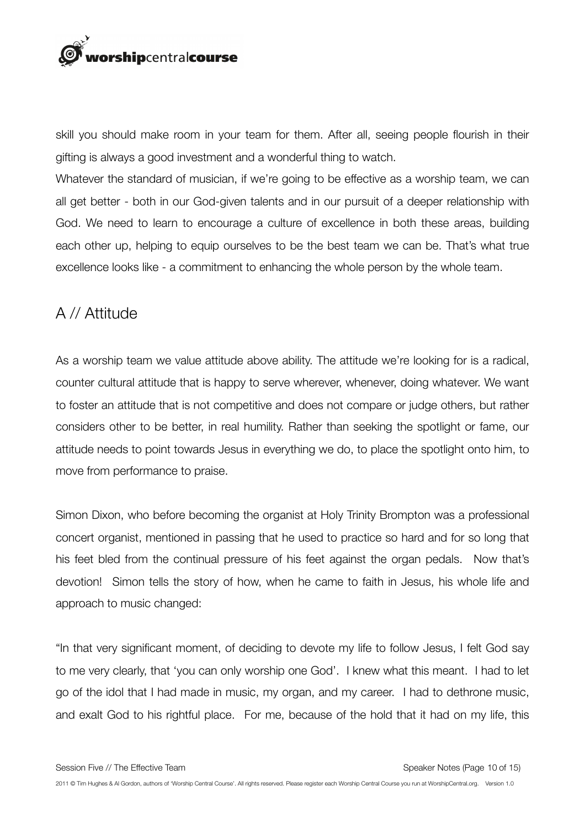

skill you should make room in your team for them. After all, seeing people flourish in their gifting is always a good investment and a wonderful thing to watch.

Whatever the standard of musician, if we're going to be effective as a worship team, we can all get better - both in our God-given talents and in our pursuit of a deeper relationship with God. We need to learn to encourage a culture of excellence in both these areas, building each other up, helping to equip ourselves to be the best team we can be. That's what true excellence looks like - a commitment to enhancing the whole person by the whole team.

## A // Attitude

As a worship team we value attitude above ability. The attitude we're looking for is a radical, counter cultural attitude that is happy to serve wherever, whenever, doing whatever. We want to foster an attitude that is not competitive and does not compare or judge others, but rather considers other to be better, in real humility. Rather than seeking the spotlight or fame, our attitude needs to point towards Jesus in everything we do, to place the spotlight onto him, to move from performance to praise.

Simon Dixon, who before becoming the organist at Holy Trinity Brompton was a professional concert organist, mentioned in passing that he used to practice so hard and for so long that his feet bled from the continual pressure of his feet against the organ pedals. Now that's devotion! Simon tells the story of how, when he came to faith in Jesus, his whole life and approach to music changed:

"In that very significant moment, of deciding to devote my life to follow Jesus, I felt God say to me very clearly, that 'you can only worship one God'. I knew what this meant. I had to let go of the idol that I had made in music, my organ, and my career. I had to dethrone music, and exalt God to his rightful place. For me, because of the hold that it had on my life, this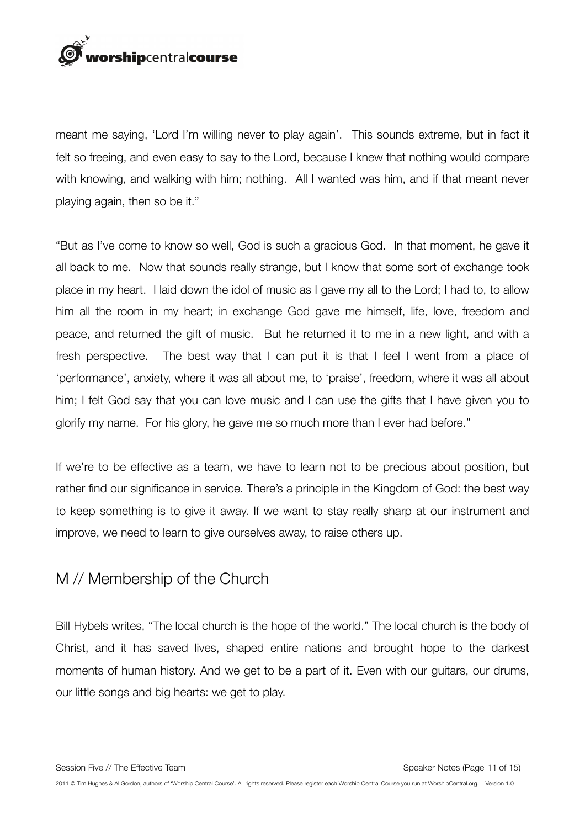

meant me saying, 'Lord I'm willing never to play again'. This sounds extreme, but in fact it felt so freeing, and even easy to say to the Lord, because I knew that nothing would compare with knowing, and walking with him; nothing. All I wanted was him, and if that meant never playing again, then so be it."

"But as I've come to know so well, God is such a gracious God. In that moment, he gave it all back to me. Now that sounds really strange, but I know that some sort of exchange took place in my heart. I laid down the idol of music as I gave my all to the Lord; I had to, to allow him all the room in my heart; in exchange God gave me himself, life, love, freedom and peace, and returned the gift of music. But he returned it to me in a new light, and with a fresh perspective. The best way that I can put it is that I feel I went from a place of 'performance', anxiety, where it was all about me, to 'praise', freedom, where it was all about him; I felt God say that you can love music and I can use the gifts that I have given you to glorify my name. For his glory, he gave me so much more than I ever had before."

If we're to be effective as a team, we have to learn not to be precious about position, but rather find our significance in service. There's a principle in the Kingdom of God: the best way to keep something is to give it away. If we want to stay really sharp at our instrument and improve, we need to learn to give ourselves away, to raise others up.

### M // Membership of the Church

Bill Hybels writes, "The local church is the hope of the world." The local church is the body of Christ, and it has saved lives, shaped entire nations and brought hope to the darkest moments of human history. And we get to be a part of it. Even with our guitars, our drums, our little songs and big hearts: we get to play.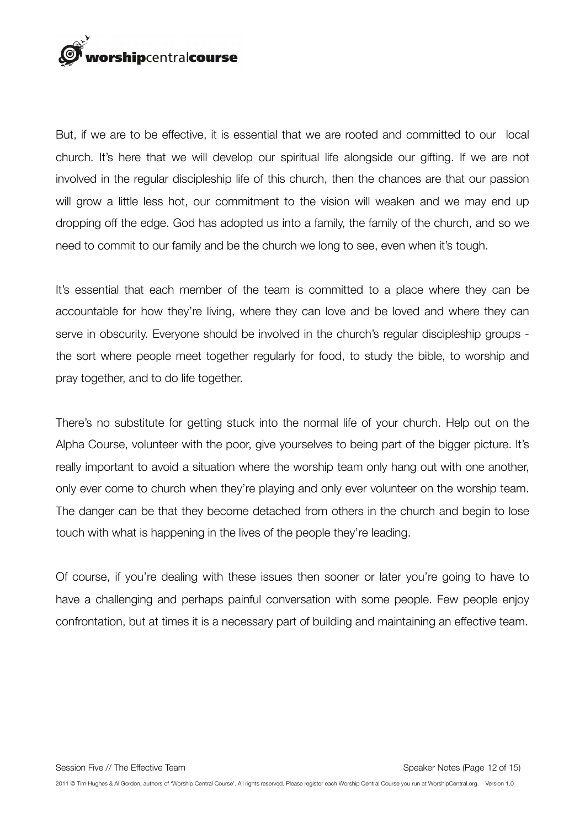

But, if we are to be effective, it is essential that we are rooted and committed to our local church. It's here that we will develop our spiritual life alongside our gifting. If we are not involved in the regular discipleship life of this church, then the chances are that our passion will grow a little less hot, our commitment to the vision will weaken and we may end up dropping off the edge. God has adopted us into a family, the family of the church, and so we need to commit to our family and be the church we long to see, even when it's tough.

It's essential that each member of the team is committed to a place where they can be accountable for how they're living, where they can love and be loved and where they can serve in obscurity. Everyone should be involved in the church's regular discipleship groups the sort where people meet together regularly for food, to study the bible, to worship and pray together, and to do life together.

There's no substitute for getting stuck into the normal life of your church. Help out on the Alpha Course, volunteer with the poor, give yourselves to being part of the bigger picture. It's really important to avoid a situation where the worship team only hang out with one another, only ever come to church when they're playing and only ever volunteer on the worship team. The danger can be that they become detached from others in the church and begin to lose touch with what is happening in the lives of the people they're leading.

Of course, if you're dealing with these issues then sooner or later you're going to have to have a challenging and perhaps painful conversation with some people. Few people enjoy confrontation, but at times it is a necessary part of building and maintaining an effective team.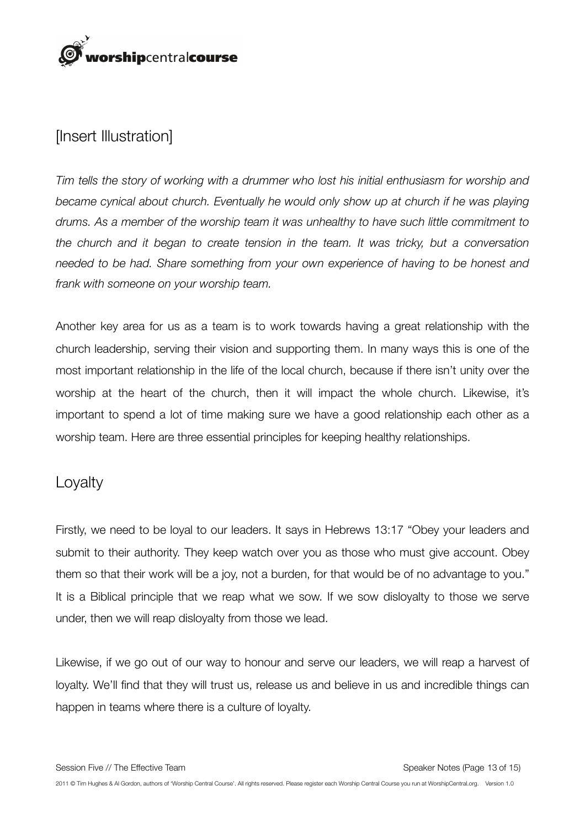

## [Insert Illustration]

*Tim tells the story of working with a drummer who lost his initial enthusiasm for worship and became cynical about church. Eventually he would only show up at church if he was playing drums. As a member of the worship team it was unhealthy to have such little commitment to the church and it began to create tension in the team. It was tricky, but a conversation needed to be had. Share something from your own experience of having to be honest and frank with someone on your worship team.* 

Another key area for us as a team is to work towards having a great relationship with the church leadership, serving their vision and supporting them. In many ways this is one of the most important relationship in the life of the local church, because if there isn't unity over the worship at the heart of the church, then it will impact the whole church. Likewise, it's important to spend a lot of time making sure we have a good relationship each other as a worship team. Here are three essential principles for keeping healthy relationships.

#### Loyalty

Firstly, we need to be loyal to our leaders. It says in Hebrews 13:17 "Obey your leaders and submit to their authority. They keep watch over you as those who must give account. Obey them so that their work will be a joy, not a burden, for that would be of no advantage to you." It is a Biblical principle that we reap what we sow. If we sow disloyalty to those we serve under, then we will reap disloyalty from those we lead.

Likewise, if we go out of our way to honour and serve our leaders, we will reap a harvest of loyalty. We'll find that they will trust us, release us and believe in us and incredible things can happen in teams where there is a culture of loyalty.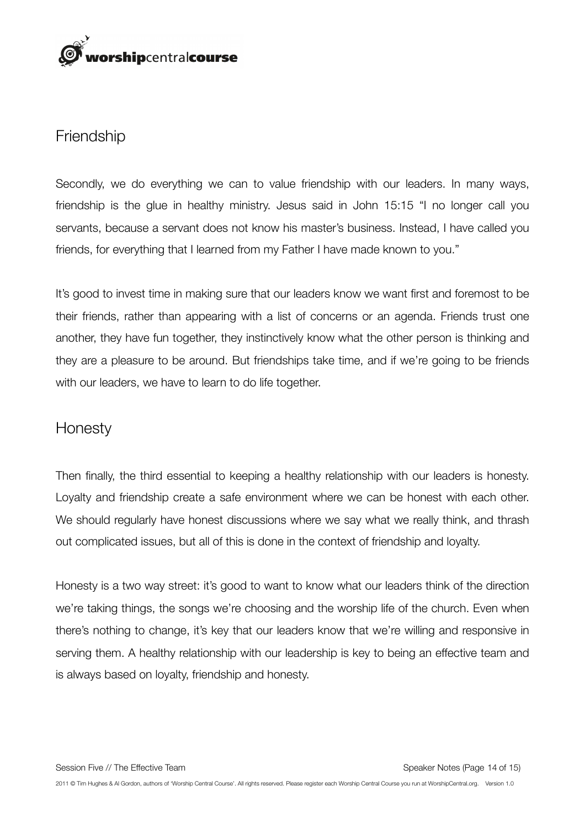

#### **Friendship**

Secondly, we do everything we can to value friendship with our leaders. In many ways, friendship is the glue in healthy ministry. Jesus said in John 15:15 "I no longer call you servants, because a servant does not know his master's business. Instead, I have called you friends, for everything that I learned from my Father I have made known to you."

It's good to invest time in making sure that our leaders know we want first and foremost to be their friends, rather than appearing with a list of concerns or an agenda. Friends trust one another, they have fun together, they instinctively know what the other person is thinking and they are a pleasure to be around. But friendships take time, and if we're going to be friends with our leaders, we have to learn to do life together.

### **Honesty**

Then finally, the third essential to keeping a healthy relationship with our leaders is honesty. Loyalty and friendship create a safe environment where we can be honest with each other. We should regularly have honest discussions where we say what we really think, and thrash out complicated issues, but all of this is done in the context of friendship and loyalty.

Honesty is a two way street: it's good to want to know what our leaders think of the direction we're taking things, the songs we're choosing and the worship life of the church. Even when there's nothing to change, it's key that our leaders know that we're willing and responsive in serving them. A healthy relationship with our leadership is key to being an effective team and is always based on loyalty, friendship and honesty.